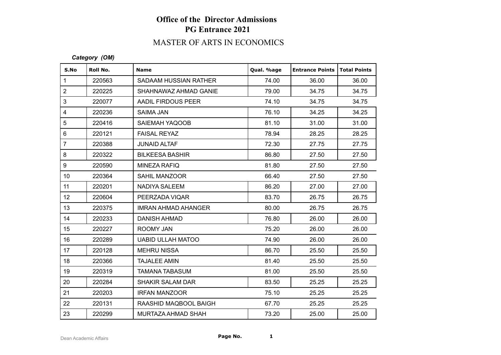# MASTER OF ARTS IN ECONOMICS

### *Category (OM)*

| S.No            | Roll No. | <b>Name</b>              | Qual. %age | <b>Entrance Points</b> | <b>Total Points</b> |
|-----------------|----------|--------------------------|------------|------------------------|---------------------|
| $\mathbf{1}$    | 220563   | SADAAM HUSSIAN RATHER    | 74.00      | 36.00                  | 36.00               |
| $\overline{2}$  | 220225   | SHAHNAWAZ AHMAD GANIE    | 79.00      | 34.75                  | 34.75               |
| 3               | 220077   | AADIL FIRDOUS PEER       | 74.10      | 34.75                  | 34.75               |
| $\overline{4}$  | 220236   | SAIMA JAN                | 76.10      | 34.25                  | 34.25               |
| 5               | 220416   | SAIEMAH YAQOOB           | 81.10      | 31.00                  | 31.00               |
| $6\phantom{1}$  | 220121   | <b>FAISAL REYAZ</b>      | 78.94      | 28.25                  | 28.25               |
| $\overline{7}$  | 220388   | <b>JUNAID ALTAF</b>      | 72.30      | 27.75                  | 27.75               |
| 8               | 220322   | <b>BILKEESA BASHIR</b>   | 86.80      | 27.50                  | 27.50               |
| 9               | 220590   | MINEZA RAFIQ             | 81.80      | 27.50                  | 27.50               |
| 10 <sup>1</sup> | 220364   | <b>SAHIL MANZOOR</b>     | 66.40      | 27.50                  | 27.50               |
| 11              | 220201   | NADIYA SALEEM            | 86.20      | 27.00                  | 27.00               |
| 12 <sup>°</sup> | 220604   | PEERZADA VIQAR           | 83.70      | 26.75                  | 26.75               |
| 13              | 220375   | IMRAN AHMAD AHANGER      | 80.00      | 26.75                  | 26.75               |
| 14              | 220233   | <b>DANISH AHMAD</b>      | 76.80      | 26.00                  | 26.00               |
| 15              | 220227   | ROOMY JAN                | 75.20      | 26.00                  | 26.00               |
| 16              | 220289   | <b>UABID ULLAH MATOO</b> | 74.90      | 26.00                  | 26.00               |
| 17              | 220128   | <b>MEHRU NISSA</b>       | 86.70      | 25.50                  | 25.50               |
| 18              | 220366   | <b>TAJALEE AMIN</b>      | 81.40      | 25.50                  | 25.50               |
| 19              | 220319   | <b>TAMANA TABASUM</b>    | 81.00      | 25.50                  | 25.50               |
| 20              | 220284   | <b>SHAKIR SALAM DAR</b>  | 83.50      | 25.25                  | 25.25               |
| 21              | 220203   | <b>IRFAN MANZOOR</b>     | 75.10      | 25.25                  | 25.25               |
| 22              | 220131   | RAASHID MAQBOOL BAIGH    | 67.70      | 25.25                  | 25.25               |
| 23              | 220299   | MURTAZA AHMAD SHAH       | 73.20      | 25.00                  | 25.00               |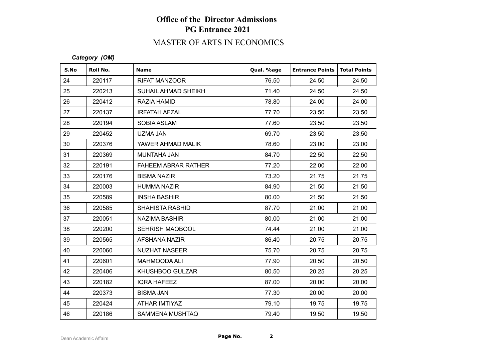# MASTER OF ARTS IN ECONOMICS

### *Category (OM)*

| S.No | Roll No. | <b>Name</b>                | Qual. %age | <b>Entrance Points   Total Points</b> |       |
|------|----------|----------------------------|------------|---------------------------------------|-------|
| 24   | 220117   | <b>RIFAT MANZOOR</b>       | 76.50      | 24.50                                 | 24.50 |
| 25   | 220213   | SUHAIL AHMAD SHEIKH        | 71.40      | 24.50                                 | 24.50 |
| 26   | 220412   | RAZIA HAMID                | 78.80      | 24.00                                 | 24.00 |
| 27   | 220137   | <b>IRFATAH AFZAL</b>       | 77.70      | 23.50                                 | 23.50 |
| 28   | 220194   | SOBIA ASLAM                | 77.60      | 23.50                                 | 23.50 |
| 29   | 220452   | <b>UZMA JAN</b>            | 69.70      | 23.50                                 | 23.50 |
| 30   | 220376   | YAWER AHMAD MALIK          | 78.60      | 23.00                                 | 23.00 |
| 31   | 220369   | MUNTAHA JAN                | 84.70      | 22.50                                 | 22.50 |
| 32   | 220191   | <b>FAHEEM ABRAR RATHER</b> | 77.20      | 22.00                                 | 22.00 |
| 33   | 220176   | <b>BISMA NAZIR</b>         | 73.20      | 21.75                                 | 21.75 |
| 34   | 220003   | <b>HUMMA NAZIR</b>         | 84.90      | 21.50                                 | 21.50 |
| 35   | 220589   | <b>INSHA BASHIR</b>        | 80.00      | 21.50                                 | 21.50 |
| 36   | 220585   | <b>SHAHISTA RASHID</b>     | 87.70      | 21.00                                 | 21.00 |
| 37   | 220051   | <b>NAZIMA BASHIR</b>       | 80.00      | 21.00                                 | 21.00 |
| 38   | 220200   | <b>SEHRISH MAQBOOL</b>     | 74.44      | 21.00                                 | 21.00 |
| 39   | 220565   | <b>AFSHANA NAZIR</b>       | 86.40      | 20.75                                 | 20.75 |
| 40   | 220060   | <b>NUZHAT NASEER</b>       | 75.70      | 20.75                                 | 20.75 |
| 41   | 220601   | <b>MAHMOODA ALI</b>        | 77.90      | 20.50                                 | 20.50 |
| 42   | 220406   | KHUSHBOO GULZAR            | 80.50      | 20.25                                 | 20.25 |
| 43   | 220182   | <b>IQRA HAFEEZ</b>         | 87.00      | 20.00                                 | 20.00 |
| 44   | 220373   | <b>BISMA JAN</b>           | 77.30      | 20.00                                 | 20.00 |
| 45   | 220424   | ATHAR IMTIYAZ              | 79.10      | 19.75                                 | 19.75 |
| 46   | 220186   | <b>SAMMENA MUSHTAQ</b>     | 79.40      | 19.50                                 | 19.50 |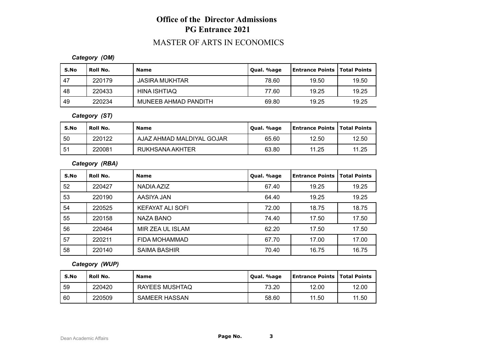## MASTER OF ARTS IN ECONOMICS

### *Category (OM)*

| S.No | Roll No. | <b>Name</b>           | Oual. %age | <b>Entrance Points   Total Points</b> |       |
|------|----------|-----------------------|------------|---------------------------------------|-------|
| , 47 | 220179   | <b>JASIRA MUKHTAR</b> | 78.60      | 19.50                                 | 19.50 |
| -48  | 220433   | HINA ISHTIAQ          | 77.60      | 19.25                                 | 19.25 |
| 49   | 220234   | MUNEEB AHMAD PANDITH  | 69.80      | 19.25                                 | 19.25 |

## *Category (ST)*

|    | S.No | Roll No. | <b>Name</b>               | Oual. %age | Entrance Points   Total Points |       |
|----|------|----------|---------------------------|------------|--------------------------------|-------|
|    | 50   | 220122   | AJAZ AHMAD MALDIYAL GOJAR | 65.60      | 12.50                          | 12.50 |
| 51 |      | 220081   | RUKHSANA AKHTER           | 63.80      | 11.25                          | 11.25 |

## *Category (RBA)*

| S.No | Roll No. | <b>Name</b>             | Qual. %age | <b>Entrance Points</b> | <b>Total Points</b> |
|------|----------|-------------------------|------------|------------------------|---------------------|
| 52   | 220427   | NADIA AZIZ              | 67.40      | 19.25                  | 19.25               |
| 53   | 220190   | AASIYA JAN              | 64.40      | 19.25                  | 19.25               |
| 54   | 220525   | <b>KEFAYAT ALI SOFI</b> | 72.00      | 18.75                  | 18.75               |
| 55   | 220158   | NAZA BANO               | 74.40      | 17.50                  | 17.50               |
| 56   | 220464   | MIR ZEA UL ISLAM        | 62.20      | 17.50                  | 17.50               |
| 57   | 220211   | FIDA MOHAMMAD           | 67.70      | 17.00                  | 17.00               |
| 58   | 220140   | <b>SAIMA BASHIR</b>     | 70.40      | 16.75                  | 16.75               |

## *Category (WUP)*

| S.No | ' Roll No. | <b>Name</b>          | Qual. %age | <b>Entrance Points   Total Points</b> |            |
|------|------------|----------------------|------------|---------------------------------------|------------|
| -59  | 220420     | RAYEES MUSHTAQ       | 73.20      | 12.00                                 | 12.00      |
| 60   | 220509     | <b>SAMEER HASSAN</b> | 58.60      | 11.50                                 | . 50<br>11 |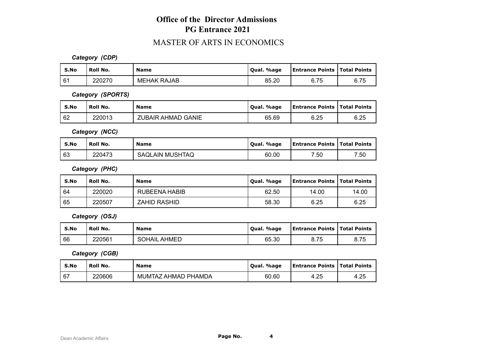## MASTER OF ARTS IN ECONOMICS

*Category (CDP)*

| S.No | Roll No. | <b>Name</b>        | Oual. %age | <b>Entrance Points   Total Points</b> |      |
|------|----------|--------------------|------------|---------------------------------------|------|
| 61   | 220270   | <b>MEHAK RAJAB</b> | 85.20      | 6.75                                  | 6.75 |

*Category (SPORTS)*

| S.No | ' Roll No. | <b>Name</b>        | Oual. %age | <b>Entrance Points   Total Points</b> |      |
|------|------------|--------------------|------------|---------------------------------------|------|
| 62   | 220013     | ZUBAIR AHMAD GANIE | 65.69      | 6.25                                  | 6.25 |

*Category (NCC)*

| S.No | Roll No. | <b>Name</b>     | Oual. %age | <b>Entrance Points   Total Points</b> |      |
|------|----------|-----------------|------------|---------------------------------------|------|
| 63   | 220473   | SAQLAIN MUSHTAQ | 60.00      | 7.50                                  | 7.50 |

*Category (PHC)*

| S.No | <b>Roll No.</b> | <b>Name</b>         | Qual. %age | <b>Entrance Points   Total Points</b> |       |
|------|-----------------|---------------------|------------|---------------------------------------|-------|
| 64   | 220020          | RUBEENA HABIB       | 62.50      | 14.00                                 | 14.00 |
| 65   | 220507          | <b>ZAHID RASHID</b> | 58.30      | 6.25                                  | 6.25  |

*Category (OSJ)*

| S.No | Roll No. | <b>Name</b>            | Qual. %age | <b>Entrance Points   Total Points</b> |      |
|------|----------|------------------------|------------|---------------------------------------|------|
| 66   | 220561   | AHMED<br><b>SOHAIL</b> | 65.30      | 8.75                                  | 8.75 |

*Category (CGB)*

| S.No | <b>Roll No.</b> | <b>Name</b>         | Oual, %age | <b>Entrance Points   Total Points</b> |      |
|------|-----------------|---------------------|------------|---------------------------------------|------|
| 167  | 220606          | MUMTAZ AHMAD PHAMDA | 60.60      | 4.25                                  | 4.25 |